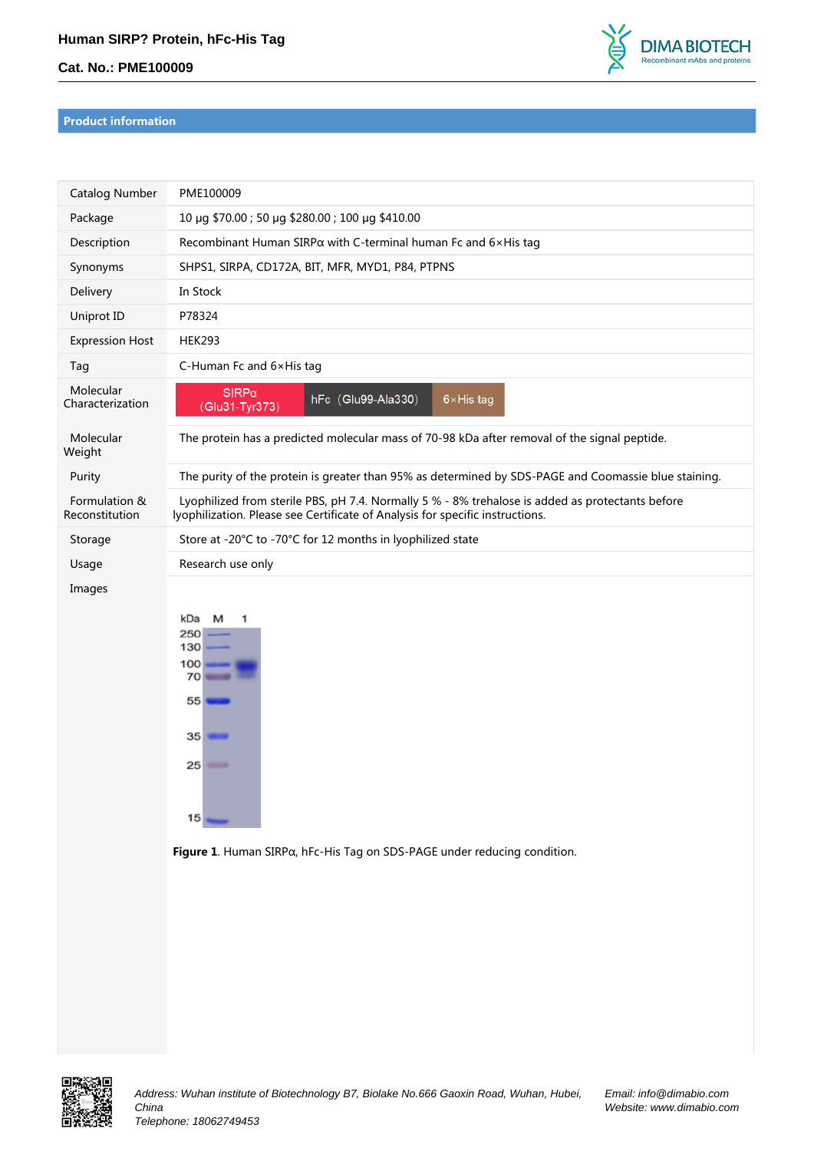## **Cat. No.: PME100009**



## *Product information*

| Catalog Number                  | PME100009                                                                                                                                                                         |
|---------------------------------|-----------------------------------------------------------------------------------------------------------------------------------------------------------------------------------|
| Package                         | 10 μg \$70.00; 50 μg \$280.00; 100 μg \$410.00                                                                                                                                    |
| Description                     | Recombinant Human SIRP $\alpha$ with C-terminal human Fc and 6×His tag                                                                                                            |
| Synonyms                        | SHPS1, SIRPA, CD172A, BIT, MFR, MYD1, P84, PTPNS                                                                                                                                  |
| Delivery                        | In Stock                                                                                                                                                                          |
| Uniprot ID                      | P78324                                                                                                                                                                            |
| <b>Expression Host</b>          | <b>HEK293</b>                                                                                                                                                                     |
| Tag                             | C-Human Fc and $6\times$ His tag                                                                                                                                                  |
| Molecular<br>Characterization   | $SIRP\alpha$<br>$hFe$ (Glu99-Ala330)<br>$6 \times$ His tag<br>(Glu31-Tyr373)                                                                                                      |
| Molecular<br>Weight             | The protein has a predicted molecular mass of 70-98 kDa after removal of the signal peptide.                                                                                      |
| Purity                          | The purity of the protein is greater than 95% as determined by SDS-PAGE and Coomassie blue staining.                                                                              |
| Formulation &<br>Reconstitution | Lyophilized from sterile PBS, pH 7.4. Normally 5 % - 8% trehalose is added as protectants before<br>lyophilization. Please see Certificate of Analysis for specific instructions. |
| Storage                         | Store at -20°C to -70°C for 12 months in lyophilized state                                                                                                                        |
| Usage                           | Research use only                                                                                                                                                                 |
| Images                          |                                                                                                                                                                                   |



*Figure 1. Human SIRPα, hFc-His Tag on SDS-PAGE under reducing condition.* 



Address: Wuhan institute of Biotechnology B7, Biolake No.666 Gaoxin Road, Wuhan, Hubei, China

Email: info@dimabio.com Website: www.dimabio.com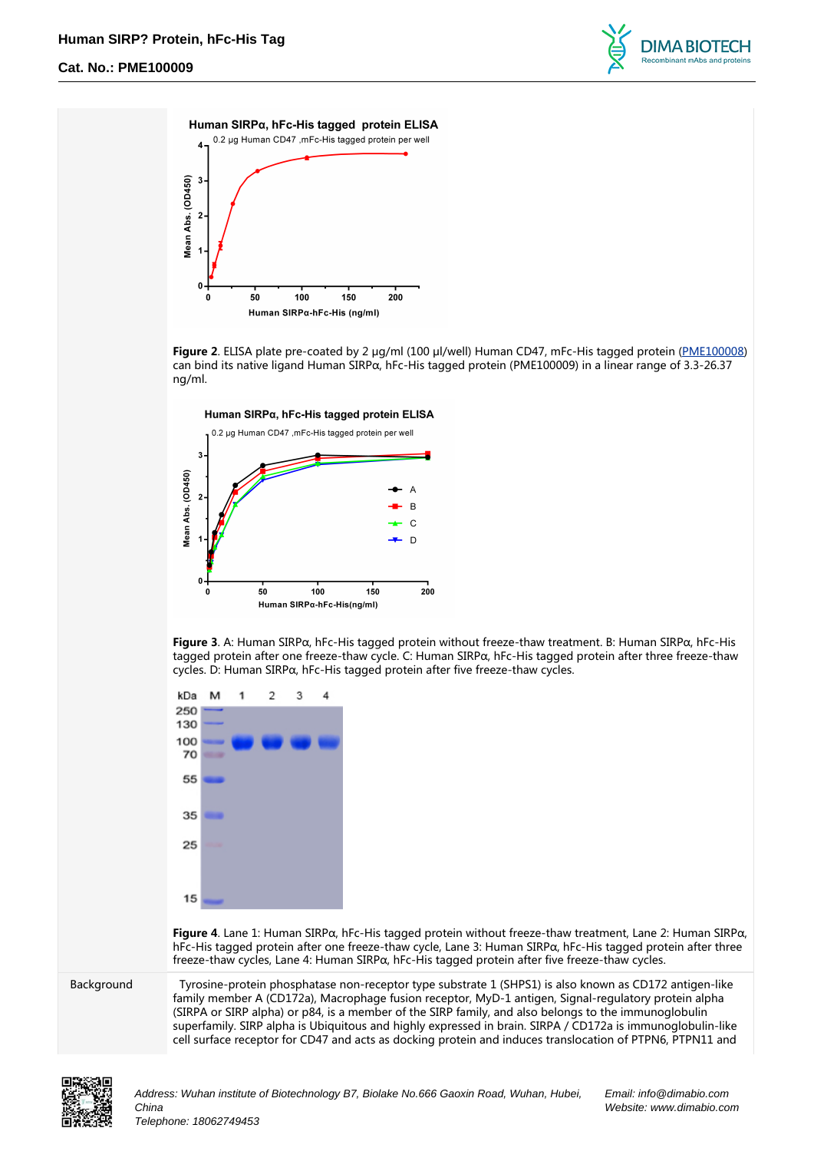## **Cat. No.: PME100009**





*Figure 2. ELISA plate pre-coated by 2 μg/ml (100 μl/well) Human CD47, mFc-His tagged protein ([PME100008](https://www.dimabio.com/product/850.html)) can bind its native ligand Human SIRPα, hFc-His tagged protein (PME100009) in a linear range of 3.3-26.37 ng/ml.* 



*Figure 3. A: Human SIRPα, hFc-His tagged protein without freeze-thaw treatment. B: Human SIRPα, hFc-His tagged protein after one freeze-thaw cycle. C: Human SIRPα, hFc-His tagged protein after three freeze-thaw cycles. D: Human SIRPα, hFc-His tagged protein after five freeze-thaw cycles.* 



*Figure 4. Lane 1: Human SIRPα, hFc-His tagged protein without freeze-thaw treatment, Lane 2: Human SIRPα, hFc-His tagged protein after one freeze-thaw cycle, Lane 3: Human SIRPα, hFc-His tagged protein after three freeze-thaw cycles, Lane 4: Human SIRPα, hFc-His tagged protein after five freeze-thaw cycles.* 

 *Background Tyrosine-protein phosphatase non-receptor type substrate 1 (SHPS1) is also known as CD172 antigen-like family member A (CD172a), Macrophage fusion receptor, MyD-1 antigen, Signal-regulatory protein alpha (SIRPA or SIRP alpha) or p84, is a member of the SIRP family, and also belongs to the immunoglobulin superfamily. SIRP alpha is Ubiquitous and highly expressed in brain. SIRPA / CD172a is immunoglobulin-like cell surface receptor for CD47 and acts as docking protein and induces translocation of PTPN6, PTPN11 and*



Address: Wuhan institute of Biotechnology B7, Biolake No.666 Gaoxin Road, Wuhan, Hubei, China

Telephone: 18062749453

Email: info@dimabio.com Website: www.dimabio.com